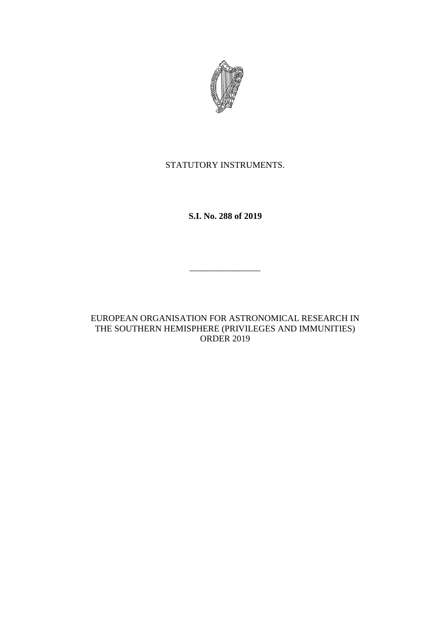

# STATUTORY INSTRUMENTS.

**S.I. No. 288 of 2019**

\_\_\_\_\_\_\_\_\_\_\_\_\_\_\_\_

EUROPEAN ORGANISATION FOR ASTRONOMICAL RESEARCH IN THE SOUTHERN HEMISPHERE (PRIVILEGES AND IMMUNITIES) ORDER 2019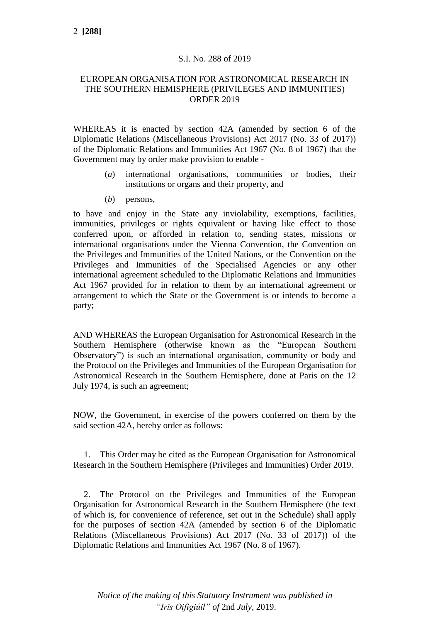### S.I. No. 288 of 2019

#### EUROPEAN ORGANISATION FOR ASTRONOMICAL RESEARCH IN THE SOUTHERN HEMISPHERE (PRIVILEGES AND IMMUNITIES) ORDER 2019

WHEREAS it is enacted by section 42A (amended by section 6 of the Diplomatic Relations (Miscellaneous Provisions) Act 2017 (No. 33 of 2017)) of the Diplomatic Relations and Immunities Act 1967 (No. 8 of 1967) that the Government may by order make provision to enable -

- (*a*) international organisations, communities or bodies, their institutions or organs and their property, and
- (*b*) persons,

to have and enjoy in the State any inviolability, exemptions, facilities, immunities, privileges or rights equivalent or having like effect to those conferred upon, or afforded in relation to, sending states, missions or international organisations under the Vienna Convention, the Convention on the Privileges and Immunities of the United Nations, or the Convention on the Privileges and Immunities of the Specialised Agencies or any other international agreement scheduled to the Diplomatic Relations and Immunities Act 1967 provided for in relation to them by an international agreement or arrangement to which the State or the Government is or intends to become a party;

AND WHEREAS the European Organisation for Astronomical Research in the Southern Hemisphere (otherwise known as the "European Southern Observatory") is such an international organisation, community or body and the Protocol on the Privileges and Immunities of the European Organisation for Astronomical Research in the Southern Hemisphere, done at Paris on the 12 July 1974, is such an agreement;

NOW, the Government, in exercise of the powers conferred on them by the said section 42A, hereby order as follows:

1. This Order may be cited as the European Organisation for Astronomical Research in the Southern Hemisphere (Privileges and Immunities) Order 2019.

2. The Protocol on the Privileges and Immunities of the European Organisation for Astronomical Research in the Southern Hemisphere (the text of which is, for convenience of reference, set out in the Schedule) shall apply for the purposes of section 42A (amended by section 6 of the Diplomatic Relations (Miscellaneous Provisions) Act 2017 (No. 33 of 2017)) of the Diplomatic Relations and Immunities Act 1967 (No. 8 of 1967).

*Notice of the making of this Statutory Instrument was published in "Iris Oifigiúil" of* 2nd *July,* 2019.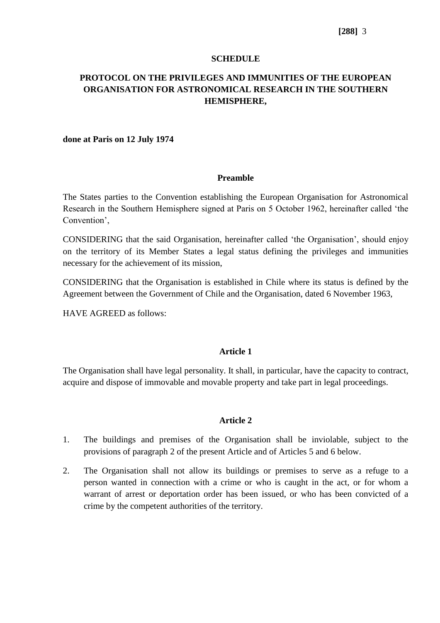### **SCHEDULE**

# **PROTOCOL ON THE PRIVILEGES AND IMMUNITIES OF THE EUROPEAN ORGANISATION FOR ASTRONOMICAL RESEARCH IN THE SOUTHERN HEMISPHERE,**

#### **done at Paris on 12 July 1974**

#### **Preamble**

The States parties to the Convention establishing the European Organisation for Astronomical Research in the Southern Hemisphere signed at Paris on 5 October 1962, hereinafter called 'the Convention',

CONSIDERING that the said Organisation, hereinafter called 'the Organisation', should enjoy on the territory of its Member States a legal status defining the privileges and immunities necessary for the achievement of its mission,

CONSIDERING that the Organisation is established in Chile where its status is defined by the Agreement between the Government of Chile and the Organisation, dated 6 November 1963,

HAVE AGREED as follows:

### **Article 1**

The Organisation shall have legal personality. It shall, in particular, have the capacity to contract, acquire and dispose of immovable and movable property and take part in legal proceedings.

### **Article 2**

- 1. The buildings and premises of the Organisation shall be inviolable, subject to the provisions of paragraph 2 of the present Article and of Articles 5 and 6 below.
- 2. The Organisation shall not allow its buildings or premises to serve as a refuge to a person wanted in connection with a crime or who is caught in the act, or for whom a warrant of arrest or deportation order has been issued, or who has been convicted of a crime by the competent authorities of the territory.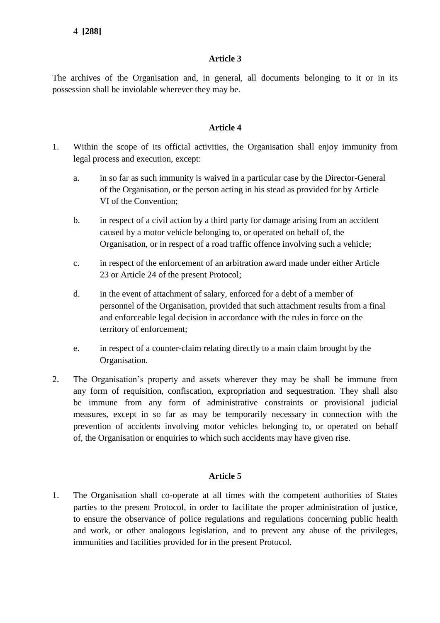## **Article 3**

The archives of the Organisation and, in general, all documents belonging to it or in its possession shall be inviolable wherever they may be.

## **Article 4**

- 1. Within the scope of its official activities, the Organisation shall enjoy immunity from legal process and execution, except:
	- a. in so far as such immunity is waived in a particular case by the Director-General of the Organisation, or the person acting in his stead as provided for by Article VI of the Convention;
	- b. in respect of a civil action by a third party for damage arising from an accident caused by a motor vehicle belonging to, or operated on behalf of, the Organisation, or in respect of a road traffic offence involving such a vehicle;
	- c. in respect of the enforcement of an arbitration award made under either Article 23 or Article 24 of the present Protocol;
	- d. in the event of attachment of salary, enforced for a debt of a member of personnel of the Organisation, provided that such attachment results from a final and enforceable legal decision in accordance with the rules in force on the territory of enforcement;
	- e. in respect of a counter-claim relating directly to a main claim brought by the Organisation.
- 2. The Organisation's property and assets wherever they may be shall be immune from any form of requisition, confiscation, expropriation and sequestration. They shall also be immune from any form of administrative constraints or provisional judicial measures, except in so far as may be temporarily necessary in connection with the prevention of accidents involving motor vehicles belonging to, or operated on behalf of, the Organisation or enquiries to which such accidents may have given rise.

## **Article 5**

1. The Organisation shall co-operate at all times with the competent authorities of States parties to the present Protocol, in order to facilitate the proper administration of justice, to ensure the observance of police regulations and regulations concerning public health and work, or other analogous legislation, and to prevent any abuse of the privileges, immunities and facilities provided for in the present Protocol.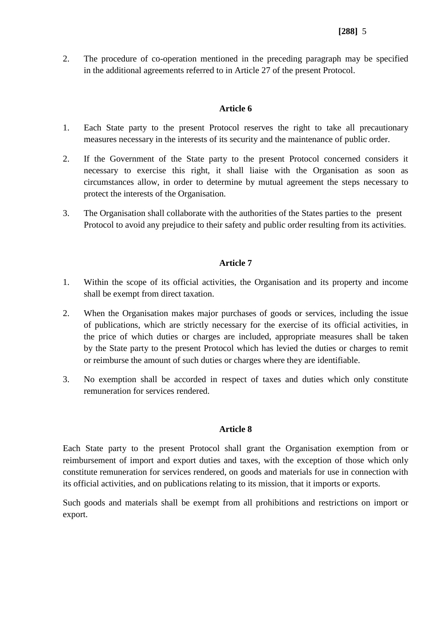2. The procedure of co-operation mentioned in the preceding paragraph may be specified in the additional agreements referred to in Article 27 of the present Protocol.

## **Article 6**

- 1. Each State party to the present Protocol reserves the right to take all precautionary measures necessary in the interests of its security and the maintenance of public order.
- 2. If the Government of the State party to the present Protocol concerned considers it necessary to exercise this right, it shall liaise with the Organisation as soon as circumstances allow, in order to determine by mutual agreement the steps necessary to protect the interests of the Organisation.
- 3. The Organisation shall collaborate with the authorities of the States parties to the present Protocol to avoid any prejudice to their safety and public order resulting from its activities.

## **Article 7**

- 1. Within the scope of its official activities, the Organisation and its property and income shall be exempt from direct taxation.
- 2. When the Organisation makes major purchases of goods or services, including the issue of publications, which are strictly necessary for the exercise of its official activities, in the price of which duties or charges are included, appropriate measures shall be taken by the State party to the present Protocol which has levied the duties or charges to remit or reimburse the amount of such duties or charges where they are identifiable.
- 3. No exemption shall be accorded in respect of taxes and duties which only constitute remuneration for services rendered.

### **Article 8**

Each State party to the present Protocol shall grant the Organisation exemption from or reimbursement of import and export duties and taxes, with the exception of those which only constitute remuneration for services rendered, on goods and materials for use in connection with its official activities, and on publications relating to its mission, that it imports or exports.

Such goods and materials shall be exempt from all prohibitions and restrictions on import or export.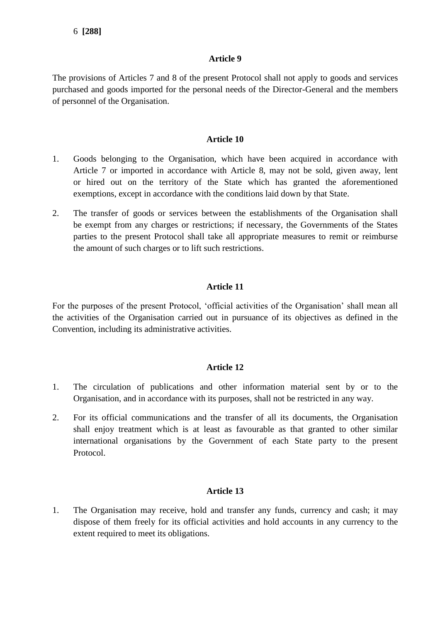## **Article 9**

The provisions of Articles 7 and 8 of the present Protocol shall not apply to goods and services purchased and goods imported for the personal needs of the Director-General and the members of personnel of the Organisation.

## **Article 10**

- 1. Goods belonging to the Organisation, which have been acquired in accordance with Article 7 or imported in accordance with Article 8, may not be sold, given away, lent or hired out on the territory of the State which has granted the aforementioned exemptions, except in accordance with the conditions laid down by that State.
- 2. The transfer of goods or services between the establishments of the Organisation shall be exempt from any charges or restrictions; if necessary, the Governments of the States parties to the present Protocol shall take all appropriate measures to remit or reimburse the amount of such charges or to lift such restrictions.

## **Article 11**

For the purposes of the present Protocol, 'official activities of the Organisation' shall mean all the activities of the Organisation carried out in pursuance of its objectives as defined in the Convention, including its administrative activities.

### **Article 12**

- 1. The circulation of publications and other information material sent by or to the Organisation, and in accordance with its purposes, shall not be restricted in any way.
- 2. For its official communications and the transfer of all its documents, the Organisation shall enjoy treatment which is at least as favourable as that granted to other similar international organisations by the Government of each State party to the present Protocol.

### **Article 13**

1. The Organisation may receive, hold and transfer any funds, currency and cash; it may dispose of them freely for its official activities and hold accounts in any currency to the extent required to meet its obligations.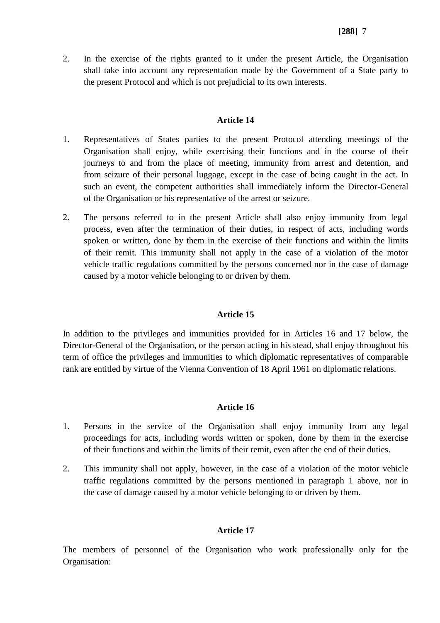2. In the exercise of the rights granted to it under the present Article, the Organisation shall take into account any representation made by the Government of a State party to the present Protocol and which is not prejudicial to its own interests.

## **Article 14**

- 1. Representatives of States parties to the present Protocol attending meetings of the Organisation shall enjoy, while exercising their functions and in the course of their journeys to and from the place of meeting, immunity from arrest and detention, and from seizure of their personal luggage, except in the case of being caught in the act. In such an event, the competent authorities shall immediately inform the Director-General of the Organisation or his representative of the arrest or seizure.
- 2. The persons referred to in the present Article shall also enjoy immunity from legal process, even after the termination of their duties, in respect of acts, including words spoken or written, done by them in the exercise of their functions and within the limits of their remit. This immunity shall not apply in the case of a violation of the motor vehicle traffic regulations committed by the persons concerned nor in the case of damage caused by a motor vehicle belonging to or driven by them.

## **Article 15**

In addition to the privileges and immunities provided for in Articles 16 and 17 below, the Director-General of the Organisation, or the person acting in his stead, shall enjoy throughout his term of office the privileges and immunities to which diplomatic representatives of comparable rank are entitled by virtue of the Vienna Convention of 18 April 1961 on diplomatic relations.

## **Article 16**

- 1. Persons in the service of the Organisation shall enjoy immunity from any legal proceedings for acts, including words written or spoken, done by them in the exercise of their functions and within the limits of their remit, even after the end of their duties.
- 2. This immunity shall not apply, however, in the case of a violation of the motor vehicle traffic regulations committed by the persons mentioned in paragraph 1 above, nor in the case of damage caused by a motor vehicle belonging to or driven by them.

## **Article 17**

The members of personnel of the Organisation who work professionally only for the Organisation: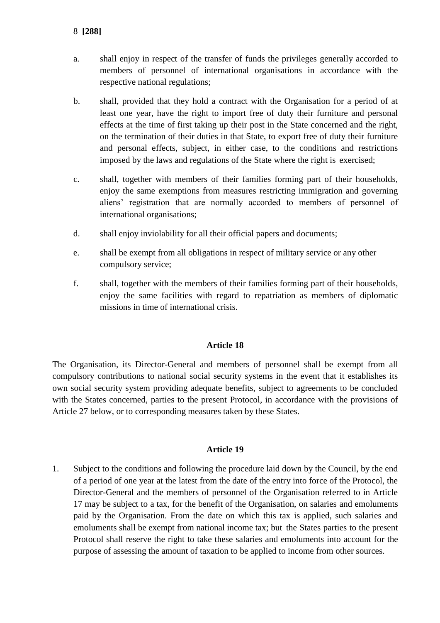- a. shall enjoy in respect of the transfer of funds the privileges generally accorded to members of personnel of international organisations in accordance with the respective national regulations;
- b. shall, provided that they hold a contract with the Organisation for a period of at least one year, have the right to import free of duty their furniture and personal effects at the time of first taking up their post in the State concerned and the right, on the termination of their duties in that State, to export free of duty their furniture and personal effects, subject, in either case, to the conditions and restrictions imposed by the laws and regulations of the State where the right is exercised;
- c. shall, together with members of their families forming part of their households, enjoy the same exemptions from measures restricting immigration and governing aliens' registration that are normally accorded to members of personnel of international organisations;
- d. shall enjoy inviolability for all their official papers and documents;
- e. shall be exempt from all obligations in respect of military service or any other compulsory service;
- f. shall, together with the members of their families forming part of their households, enjoy the same facilities with regard to repatriation as members of diplomatic missions in time of international crisis.

## **Article 18**

The Organisation, its Director-General and members of personnel shall be exempt from all compulsory contributions to national social security systems in the event that it establishes its own social security system providing adequate benefits, subject to agreements to be concluded with the States concerned, parties to the present Protocol, in accordance with the provisions of Article 27 below, or to corresponding measures taken by these States.

#### **Article 19**

1. Subject to the conditions and following the procedure laid down by the Council, by the end of a period of one year at the latest from the date of the entry into force of the Protocol, the Director-General and the members of personnel of the Organisation referred to in Article 17 may be subject to a tax, for the benefit of the Organisation, on salaries and emoluments paid by the Organisation. From the date on which this tax is applied, such salaries and emoluments shall be exempt from national income tax; but the States parties to the present Protocol shall reserve the right to take these salaries and emoluments into account for the purpose of assessing the amount of taxation to be applied to income from other sources.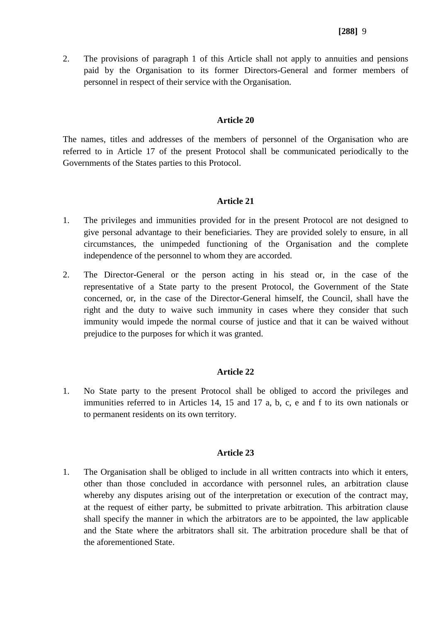2. The provisions of paragraph 1 of this Article shall not apply to annuities and pensions paid by the Organisation to its former Directors-General and former members of personnel in respect of their service with the Organisation.

## **Article 20**

The names, titles and addresses of the members of personnel of the Organisation who are referred to in Article 17 of the present Protocol shall be communicated periodically to the Governments of the States parties to this Protocol.

## **Article 21**

- 1. The privileges and immunities provided for in the present Protocol are not designed to give personal advantage to their beneficiaries. They are provided solely to ensure, in all circumstances, the unimpeded functioning of the Organisation and the complete independence of the personnel to whom they are accorded.
- 2. The Director-General or the person acting in his stead or, in the case of the representative of a State party to the present Protocol, the Government of the State concerned, or, in the case of the Director-General himself, the Council, shall have the right and the duty to waive such immunity in cases where they consider that such immunity would impede the normal course of justice and that it can be waived without prejudice to the purposes for which it was granted.

## **Article 22**

1. No State party to the present Protocol shall be obliged to accord the privileges and immunities referred to in Articles 14, 15 and 17 a, b, c, e and f to its own nationals or to permanent residents on its own territory.

## **Article 23**

1. The Organisation shall be obliged to include in all written contracts into which it enters, other than those concluded in accordance with personnel rules, an arbitration clause whereby any disputes arising out of the interpretation or execution of the contract may, at the request of either party, be submitted to private arbitration. This arbitration clause shall specify the manner in which the arbitrators are to be appointed, the law applicable and the State where the arbitrators shall sit. The arbitration procedure shall be that of the aforementioned State.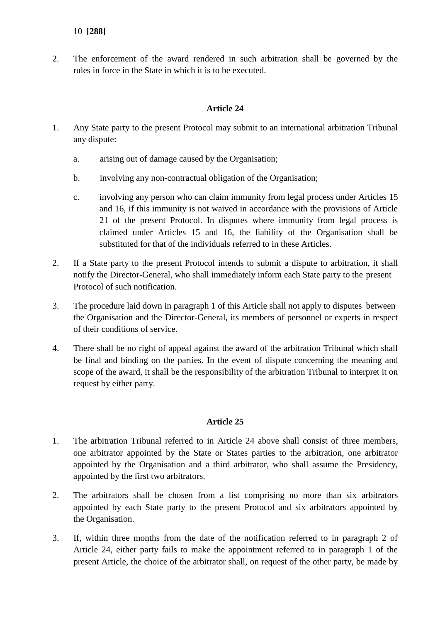2. The enforcement of the award rendered in such arbitration shall be governed by the rules in force in the State in which it is to be executed.

## **Article 24**

- 1. Any State party to the present Protocol may submit to an international arbitration Tribunal any dispute:
	- a. arising out of damage caused by the Organisation;
	- b. involving any non-contractual obligation of the Organisation;
	- c. involving any person who can claim immunity from legal process under Articles 15 and 16, if this immunity is not waived in accordance with the provisions of Article 21 of the present Protocol. In disputes where immunity from legal process is claimed under Articles 15 and 16, the liability of the Organisation shall be substituted for that of the individuals referred to in these Articles.
- 2. If a State party to the present Protocol intends to submit a dispute to arbitration, it shall notify the Director-General, who shall immediately inform each State party to the present Protocol of such notification.
- 3. The procedure laid down in paragraph 1 of this Article shall not apply to disputes between the Organisation and the Director-General, its members of personnel or experts in respect of their conditions of service.
- 4. There shall be no right of appeal against the award of the arbitration Tribunal which shall be final and binding on the parties. In the event of dispute concerning the meaning and scope of the award, it shall be the responsibility of the arbitration Tribunal to interpret it on request by either party.

## **Article 25**

- 1. The arbitration Tribunal referred to in Article 24 above shall consist of three members, one arbitrator appointed by the State or States parties to the arbitration, one arbitrator appointed by the Organisation and a third arbitrator, who shall assume the Presidency, appointed by the first two arbitrators.
- 2. The arbitrators shall be chosen from a list comprising no more than six arbitrators appointed by each State party to the present Protocol and six arbitrators appointed by the Organisation.
- 3. If, within three months from the date of the notification referred to in paragraph 2 of Article 24, either party fails to make the appointment referred to in paragraph 1 of the present Article, the choice of the arbitrator shall, on request of the other party, be made by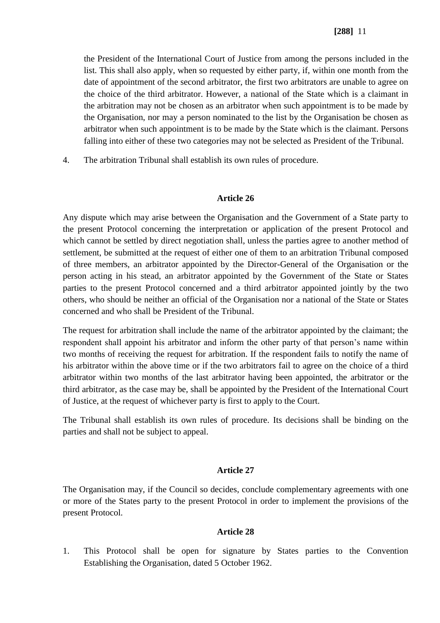the President of the International Court of Justice from among the persons included in the list. This shall also apply, when so requested by either party, if, within one month from the date of appointment of the second arbitrator, the first two arbitrators are unable to agree on the choice of the third arbitrator. However, a national of the State which is a claimant in the arbitration may not be chosen as an arbitrator when such appointment is to be made by the Organisation, nor may a person nominated to the list by the Organisation be chosen as arbitrator when such appointment is to be made by the State which is the claimant. Persons falling into either of these two categories may not be selected as President of the Tribunal.

4. The arbitration Tribunal shall establish its own rules of procedure.

#### **Article 26**

Any dispute which may arise between the Organisation and the Government of a State party to the present Protocol concerning the interpretation or application of the present Protocol and which cannot be settled by direct negotiation shall, unless the parties agree to another method of settlement, be submitted at the request of either one of them to an arbitration Tribunal composed of three members, an arbitrator appointed by the Director-General of the Organisation or the person acting in his stead, an arbitrator appointed by the Government of the State or States parties to the present Protocol concerned and a third arbitrator appointed jointly by the two others, who should be neither an official of the Organisation nor a national of the State or States concerned and who shall be President of the Tribunal.

The request for arbitration shall include the name of the arbitrator appointed by the claimant; the respondent shall appoint his arbitrator and inform the other party of that person's name within two months of receiving the request for arbitration. If the respondent fails to notify the name of his arbitrator within the above time or if the two arbitrators fail to agree on the choice of a third arbitrator within two months of the last arbitrator having been appointed, the arbitrator or the third arbitrator, as the case may be, shall be appointed by the President of the International Court of Justice, at the request of whichever party is first to apply to the Court.

The Tribunal shall establish its own rules of procedure. Its decisions shall be binding on the parties and shall not be subject to appeal.

### **Article 27**

The Organisation may, if the Council so decides, conclude complementary agreements with one or more of the States party to the present Protocol in order to implement the provisions of the present Protocol.

### **Article 28**

1. This Protocol shall be open for signature by States parties to the Convention Establishing the Organisation, dated 5 October 1962.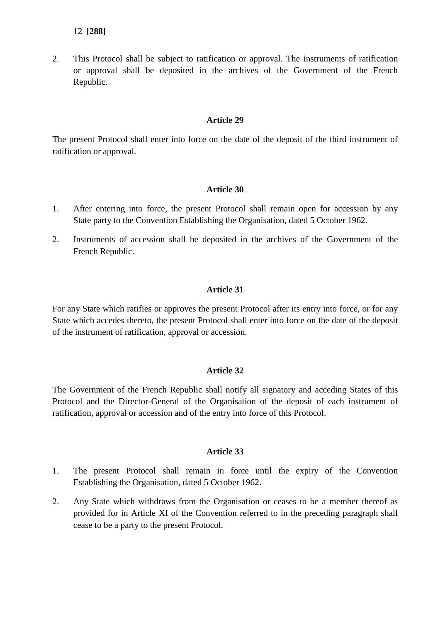## 12 **[288]**

2. This Protocol shall be subject to ratification or approval. The instruments of ratification or approval shall be deposited in the archives of the Government of the French Republic.

## **Article 29**

The present Protocol shall enter into force on the date of the deposit of the third instrument of ratification or approval.

## **Article 30**

- 1. After entering into force, the present Protocol shall remain open for accession by any State party to the Convention Establishing the Organisation, dated 5 October 1962.
- 2. Instruments of accession shall be deposited in the archives of the Government of the French Republic.

## **Article 31**

For any State which ratifies or approves the present Protocol after its entry into force, or for any State which accedes thereto, the present Protocol shall enter into force on the date of the deposit of the instrument of ratification, approval or accession.

## **Article 32**

The Government of the French Republic shall notify all signatory and acceding States of this Protocol and the Director-General of the Organisation of the deposit of each instrument of ratification, approval or accession and of the entry into force of this Protocol.

### **Article 33**

- 1. The present Protocol shall remain in force until the expiry of the Convention Establishing the Organisation, dated 5 October 1962.
- 2. Any State which withdraws from the Organisation or ceases to be a member thereof as provided for in Article XI of the Convention referred to in the preceding paragraph shall cease to be a party to the present Protocol.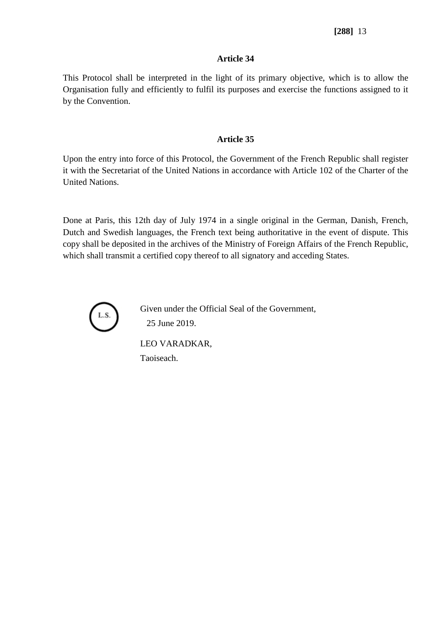## **[288]** 13

### **Article 34**

This Protocol shall be interpreted in the light of its primary objective, which is to allow the Organisation fully and efficiently to fulfil its purposes and exercise the functions assigned to it by the Convention.

### **Article 35**

Upon the entry into force of this Protocol, the Government of the French Republic shall register it with the Secretariat of the United Nations in accordance with Article 102 of the Charter of the United Nations.

Done at Paris, this 12th day of July 1974 in a single original in the German, Danish, French, Dutch and Swedish languages, the French text being authoritative in the event of dispute. This copy shall be deposited in the archives of the Ministry of Foreign Affairs of the French Republic, which shall transmit a certified copy thereof to all signatory and acceding States.



Given under the Official Seal of the Government, 25 June 2019.

LEO VARADKAR, Taoiseach.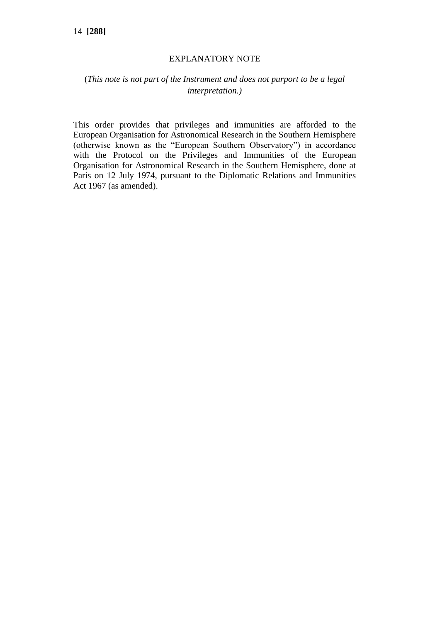### EXPLANATORY NOTE

# (*This note is not part of the Instrument and does not purport to be a legal interpretation.)*

This order provides that privileges and immunities are afforded to the European Organisation for Astronomical Research in the Southern Hemisphere (otherwise known as the "European Southern Observatory") in accordance with the Protocol on the Privileges and Immunities of the European Organisation for Astronomical Research in the Southern Hemisphere, done at Paris on 12 July 1974, pursuant to the Diplomatic Relations and Immunities Act 1967 (as amended).